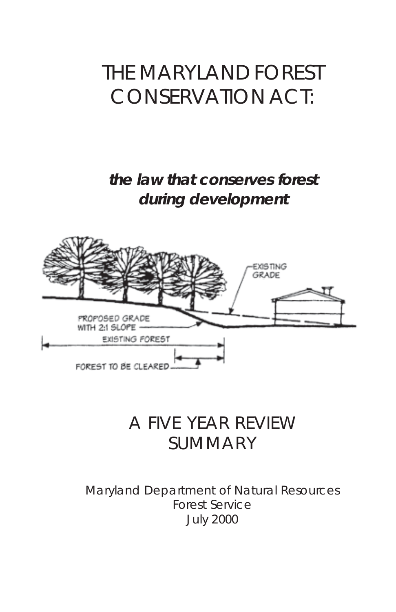# THE MARYLAND FOREST CONSERVATION ACT:

### **the law that conserves forest during development**



## A FIVE YEAR REVIEW SUMMARY

Maryland Department of Natural Resources Forest Service July 2000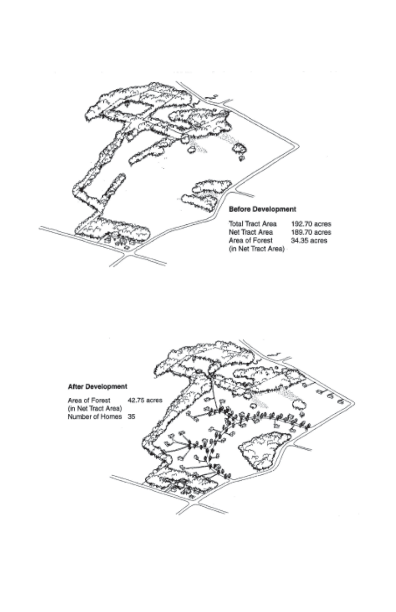

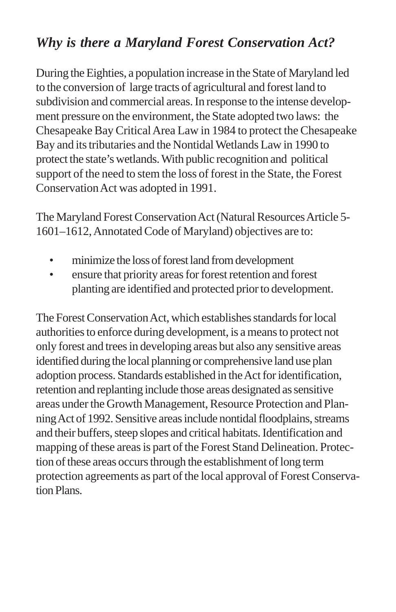### *Why is there a Maryland Forest Conservation Act?*

During the Eighties, a population increase in the State of Maryland led to the conversion of large tracts of agricultural and forest land to subdivision and commercial areas. In response to the intense development pressure on the environment, the State adopted two laws: the Chesapeake Bay Critical Area Law in 1984 to protect the Chesapeake Bay and its tributaries and the Nontidal Wetlands Law in 1990 to protect the state's wetlands. With public recognition and political support of the need to stem the loss of forest in the State, the Forest Conservation Act was adopted in 1991.

The Maryland Forest Conservation Act (Natural Resources Article 5- 1601–1612, Annotated Code of Maryland) objectives are to:

- minimize the loss of forest land from development
- ensure that priority areas for forest retention and forest planting are identified and protected prior to development.

The Forest Conservation Act, which establishes standards for local authorities to enforce during development, is a means to protect not only forest and trees in developing areas but also any sensitive areas identified during the local planning or comprehensive land use plan adoption process. Standards established in the Act for identification, retention and replanting include those areas designated as sensitive areas under the Growth Management, Resource Protection and Planning Act of 1992. Sensitive areas include nontidal floodplains, streams and their buffers, steep slopes and critical habitats. Identification and mapping of these areas is part of the Forest Stand Delineation. Protection of these areas occurs through the establishment of long term protection agreements as part of the local approval of Forest Conservation Plans.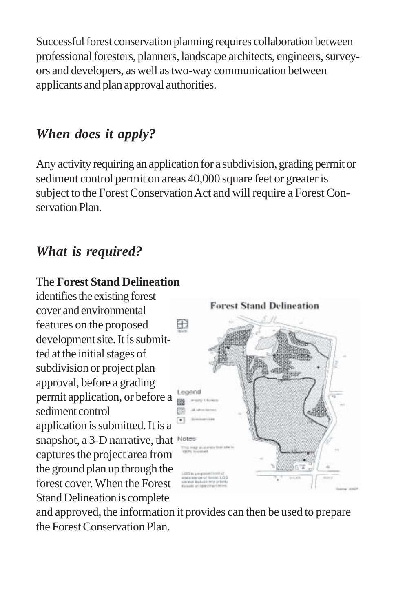Successful forest conservation planning requires collaboration between professional foresters, planners, landscape architects, engineers, surveyors and developers, as well as two-way communication between applicants and plan approval authorities.

### *When does it apply?*

Any activity requiring an application for a subdivision, grading permit or sediment control permit on areas 40,000 square feet or greater is subject to the Forest Conservation Act and will require a Forest Conservation Plan.

#### *What is required?*

#### The **Forest Stand Delineation**

identifies the existing forest cover and environmental features on the proposed development site. It is submitted at the initial stages of subdivision or project plan approval, before a grading permit application, or before a sediment control application is submitted. It is a snapshot, a 3-D narrative, that Notes captures the project area from the ground plan up through the forest cover. When the Forest Stand Delineation is complete



and approved, the information it provides can then be used to prepare the Forest Conservation Plan.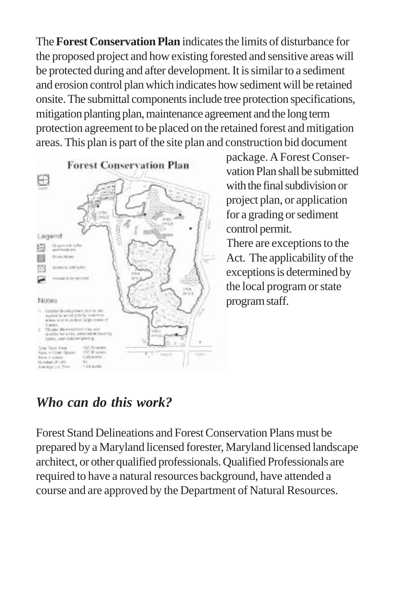The **Forest Conservation Plan** indicates the limits of disturbance for the proposed project and how existing forested and sensitive areas will be protected during and after development. It is similar to a sediment and erosion control plan which indicates how sediment will be retained onsite. The submittal components include tree protection specifications, mitigation planting plan, maintenance agreement and the long term protection agreement to be placed on the retained forest and mitigation areas. This plan is part of the site plan and construction bid document



package. A Forest Conservation Plan shall be submitted with the final subdivision or project plan, or application for a grading or sediment control permit.

There are exceptions to the Act. The applicability of the exceptions is determined by the local program or state program staff.

### *Who can do this work?*

Forest Stand Delineations and Forest Conservation Plans must be prepared by a Maryland licensed forester, Maryland licensed landscape architect, or other qualified professionals. Qualified Professionals are required to have a natural resources background, have attended a course and are approved by the Department of Natural Resources.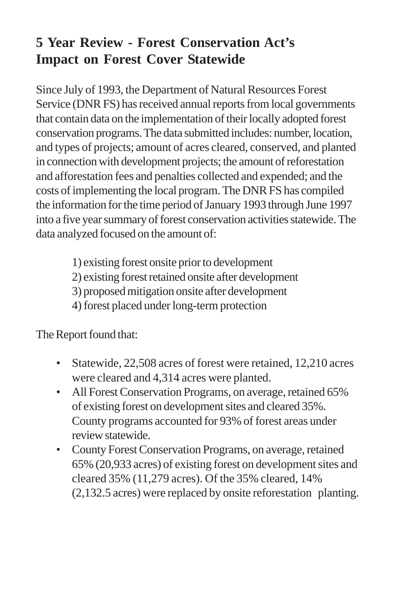### **5 Year Review - Forest Conservation Act's Impact on Forest Cover Statewide**

Since July of 1993, the Department of Natural Resources Forest Service (DNR FS) has received annual reports from local governments that contain data on the implementation of their locally adopted forest conservation programs. The data submitted includes: number, location, and types of projects; amount of acres cleared, conserved, and planted in connection with development projects; the amount of reforestation and afforestation fees and penalties collected and expended; and the costs of implementing the local program. The DNR FS has compiled the information for the time period of January 1993 through June 1997 into a five year summary of forest conservation activities statewide. The data analyzed focused on the amount of:

- 1) existing forest onsite prior to development
- 2) existing forest retained onsite after development
- 3) proposed mitigation onsite after development
- 4) forest placed under long-term protection

The Report found that:

- Statewide, 22,508 acres of forest were retained, 12,210 acres were cleared and 4,314 acres were planted.
- All Forest Conservation Programs, on average, retained 65% of existing forest on development sites and cleared 35%. County programs accounted for 93% of forest areas under review statewide.
- County Forest Conservation Programs, on average, retained 65% (20,933 acres) of existing forest on development sites and cleared 35% (11,279 acres). Of the 35% cleared, 14% (2,132.5 acres) were replaced by onsite reforestation planting.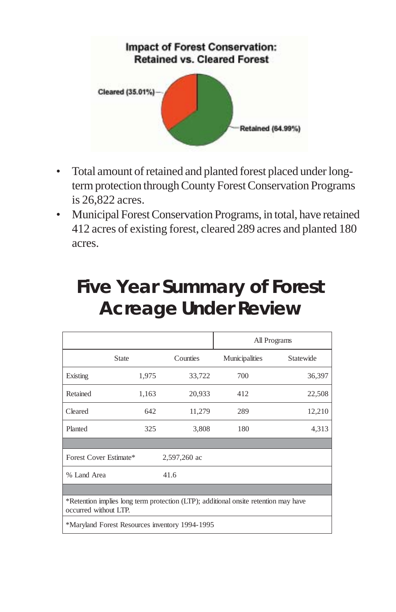

- Total amount of retained and planted forest placed under longterm protection through County Forest Conservation Programs is 26,822 acres.
- Municipal Forest Conservation Programs, in total, have retained 412 acres of existing forest, cleared 289 acres and planted 180 acres.

| <b>Five Year Summary of Forest</b> |  |
|------------------------------------|--|
| <b>Acreage Under Review</b>        |  |

|                                                                                                              |              |          |                | All Programs |
|--------------------------------------------------------------------------------------------------------------|--------------|----------|----------------|--------------|
|                                                                                                              | <b>State</b> | Counties | Municipalities | Statewide    |
| Existing                                                                                                     | 1,975        | 33,722   | 700            | 36,397       |
| Retained                                                                                                     | 1,163        | 20,933   | 412            | 22,508       |
| Cleared                                                                                                      | 642          | 11,279   | 289            | 12,210       |
| Planted                                                                                                      | 325          | 3,808    | 180            | 4,313        |
|                                                                                                              |              |          |                |              |
| Forest Cover Estimate*<br>2,597,260 ac                                                                       |              |          |                |              |
| % Land Area                                                                                                  |              | 41.6     |                |              |
|                                                                                                              |              |          |                |              |
| *Retention implies long term protection (LTP); additional onsite retention may have<br>occurred without LTP. |              |          |                |              |
| *Maryland Forest Resources inventory 1994-1995                                                               |              |          |                |              |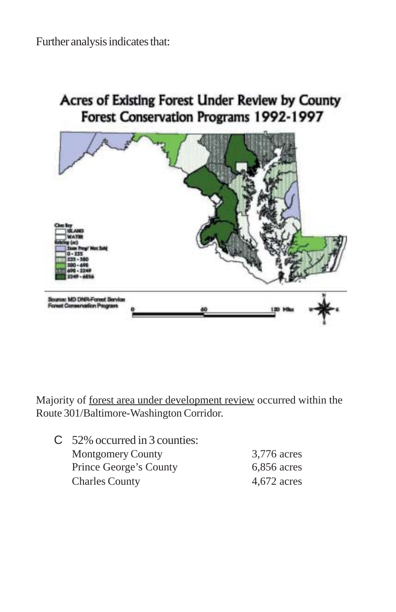

Acres of Existing Forest Under Review by County Forest Conservation Programs 1992-1997

Majority of forest area under development review occurred within the Route 301/Baltimore-Washington Corridor.

| $C$ 52% occurred in 3 counties: |               |
|---------------------------------|---------------|
| <b>Montgomery County</b>        | 3,776 acres   |
| Prince George's County          | $6,856$ acres |
| <b>Charles County</b>           | $4,672$ acres |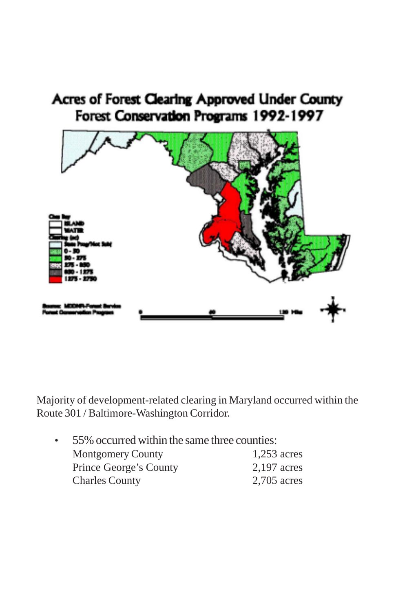### Acres of Forest Clearing Approved Under County Forest Conservation Programs 1992-1997



Majority of development-related clearing in Maryland occurred within the Route 301 / Baltimore-Washington Corridor.

| $\bullet$ | 55% occurred within the same three counties: |               |
|-----------|----------------------------------------------|---------------|
|           | <b>Montgomery County</b>                     | $1,253$ acres |
|           | Prince George's County                       | 2,197 acres   |
|           | <b>Charles County</b>                        | 2,705 acres   |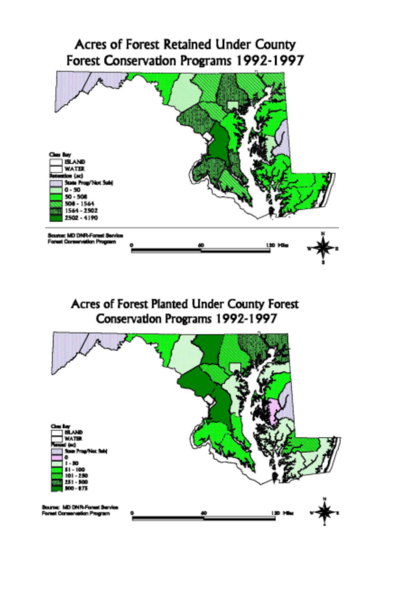#### Acres of Forest Retained Under County Forest Conservation Programs 1992-1997



#### Acres of Forest Planted Under County Forest Conservation Programs 1992-1997

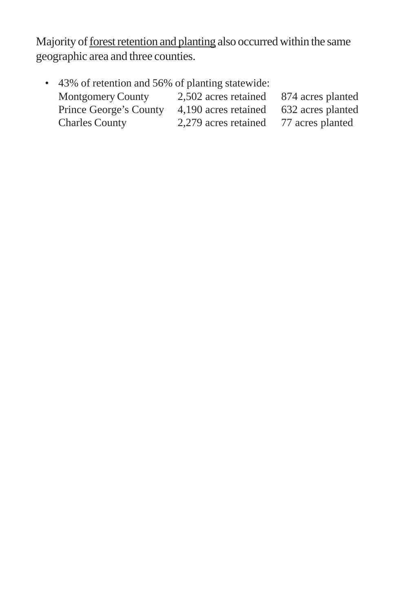Majority of forest retention and planting also occurred within the same geographic area and three counties.

| • 43% of retention and 56% of planting statewide: |                      |                   |
|---------------------------------------------------|----------------------|-------------------|
| <b>Montgomery County</b>                          | 2,502 acres retained | 874 acres planted |
| Prince George's County                            | 4,190 acres retained | 632 acres planted |
| <b>Charles County</b>                             | 2,279 acres retained | 77 acres planted  |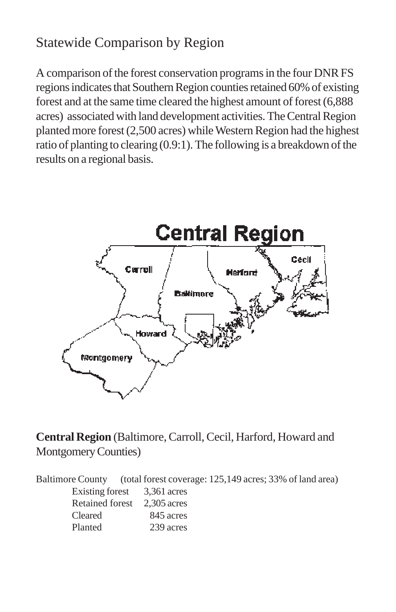### Statewide Comparison by Region

A comparison of the forest conservation programs in the four DNR FS regions indicates that Southern Region counties retained 60% of existing forest and at the same time cleared the highest amount of forest (6,888 acres) associated with land development activities. The Central Region planted more forest (2,500 acres) while Western Region had the highest ratio of planting to clearing (0.9:1). The following is a breakdown of the results on a regional basis.



#### **Central Region** (Baltimore, Carroll, Cecil, Harford, Howard and Montgomery Counties)

Baltimore County (total forest coverage: 125,149 acres; 33% of land area) Existing forest 3,361 acres Retained forest 2,305 acres Cleared 845 acres Planted 239 acres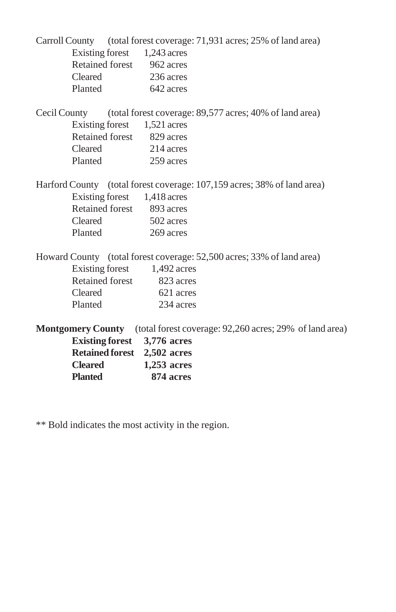| <b>Planted</b>              | 874 acres                   |                                                                                  |
|-----------------------------|-----------------------------|----------------------------------------------------------------------------------|
| <b>Cleared</b>              | $1,253$ acres               |                                                                                  |
|                             | Retained forest 2,502 acres |                                                                                  |
|                             | Existing forest 3,776 acres |                                                                                  |
|                             |                             | <b>Montgomery County</b> (total forest coverage: 92,260 acres; 29% of land area) |
| Planted                     | 234 acres                   |                                                                                  |
| Cleared                     | 621 acres                   |                                                                                  |
|                             | Retained forest 823 acres   |                                                                                  |
|                             | Existing forest 1,492 acres |                                                                                  |
|                             |                             | Howard County (total forest coverage: 52,500 acres; 33% of land area)            |
| Planted 269 acres           |                             |                                                                                  |
| Cleared                     | 502 acres                   |                                                                                  |
| Retained forest 893 acres   |                             |                                                                                  |
| Existing forest 1,418 acres |                             |                                                                                  |
|                             |                             | Harford County (total forest coverage: 107,159 acres; 38% of land area)          |
| Planted 259 acres           |                             |                                                                                  |
| Cleared 214 acres           |                             |                                                                                  |
| Retained forest 829 acres   |                             |                                                                                  |
| Existing forest 1,521 acres |                             |                                                                                  |
|                             |                             | Cecil County (total forest coverage: 89,577 acres; 40% of land area)             |
| Planted 642 acres           |                             |                                                                                  |
| Cleared 236 acres           |                             |                                                                                  |
| Retained forest 962 acres   |                             |                                                                                  |
| Existing forest 1,243 acres |                             |                                                                                  |
|                             |                             | Carroll County (total forest coverage: 71,931 acres; 25% of land area)           |
|                             |                             |                                                                                  |

\*\* Bold indicates the most activity in the region.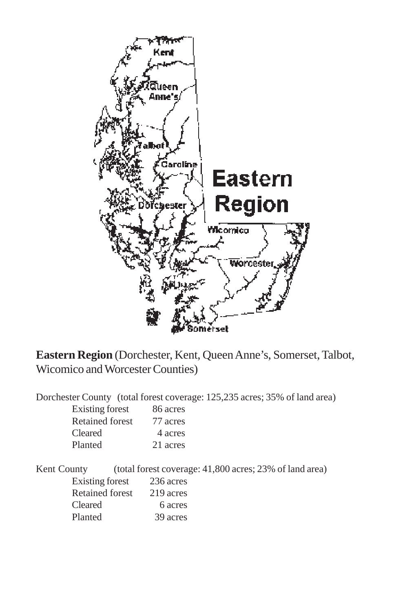

**Eastern Region** (Dorchester, Kent, Queen Anne's, Somerset, Talbot, Wicomico and Worcester Counties)

Dorchester County (total forest coverage: 125,235 acres; 35% of land area)

| Existing forest | 86 acres |
|-----------------|----------|
| Retained forest | 77 acres |
| Cleared         | 4 acres  |
| Planted         | 21 acres |

Kent County (total forest coverage: 41,800 acres; 23% of land area) Existing forest 236 acres Retained forest 219 acres Cleared 6 acres Planted 39 acres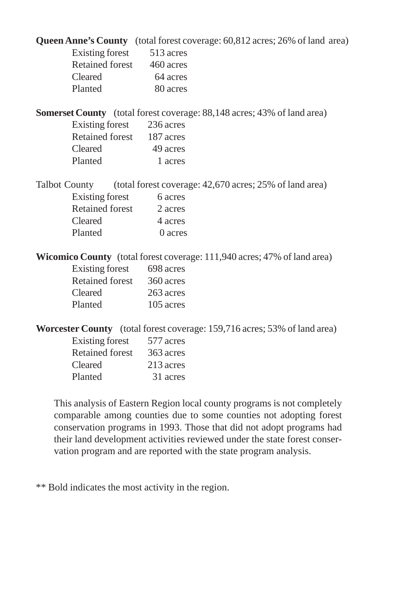|                      |                 |                           | Queen Anne's County (total forest coverage: 60,812 acres; 26% of land area)    |
|----------------------|-----------------|---------------------------|--------------------------------------------------------------------------------|
|                      |                 | Existing forest 513 acres |                                                                                |
|                      |                 | Retained forest 460 acres |                                                                                |
| Cleared              |                 | 64 acres                  |                                                                                |
| Planted              |                 | 80 acres                  |                                                                                |
|                      |                 |                           | <b>Somerset County</b> (total forest coverage: 88,148 acres; 43% of land area) |
|                      |                 | Existing forest 236 acres |                                                                                |
|                      |                 | Retained forest 187 acres |                                                                                |
| Cleared              |                 | 49 acres                  |                                                                                |
| Planted              |                 | 1 acres                   |                                                                                |
| <b>Talbot County</b> |                 |                           | (total forest coverage: 42,670 acres; 25% of land area)                        |
|                      | Existing forest | 6 acres                   |                                                                                |
|                      |                 | Retained forest 2 acres   |                                                                                |
| Cleared              |                 | 4 acres                   |                                                                                |
| Planted              |                 | 0 acres                   |                                                                                |
|                      |                 |                           | Wicomico County (total forest coverage: 111,940 acres; 47% of land area)       |
|                      |                 | Existing forest 698 acres |                                                                                |
|                      |                 | Retained forest 360 acres |                                                                                |
| Cleared              |                 | 263 acres                 |                                                                                |
|                      |                 | Planted 105 acres         |                                                                                |
|                      |                 |                           | Worcester County (total forest coverage: 159,716 acres; 53% of land area)      |
|                      |                 | Existing forest 577 acres |                                                                                |
|                      |                 | Retained forest 363 acres |                                                                                |
| Cleared              |                 | 213 acres                 |                                                                                |

This analysis of Eastern Region local county programs is not completely comparable among counties due to some counties not adopting forest conservation programs in 1993. Those that did not adopt programs had their land development activities reviewed under the state forest conservation program and are reported with the state program analysis.

\*\* Bold indicates the most activity in the region.

Planted 31 acres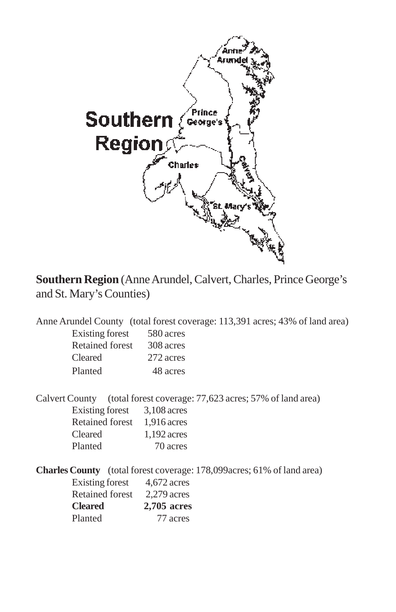

**Southern Region** (Anne Arundel, Calvert, Charles, Prince George's and St. Mary's Counties)

Anne Arundel County (total forest coverage: 113,391 acres; 43% of land area) Existing forest 580 acres Retained forest 308 acres Cleared 272 acres Planted 48 acres

Calvert County (total forest coverage: 77,623 acres; 57% of land area) Existing forest 3,108 acres Retained forest 1,916 acres Cleared 1,192 acres Planted 70 acres

**Charles County** (total forest coverage: 178,099acres; 61% of land area)

| Existing forest        | $4,672$ acres |
|------------------------|---------------|
| <b>Retained forest</b> | $2.279$ acres |
| <b>Cleared</b>         | 2,705 acres   |
| Planted                | 77 acres      |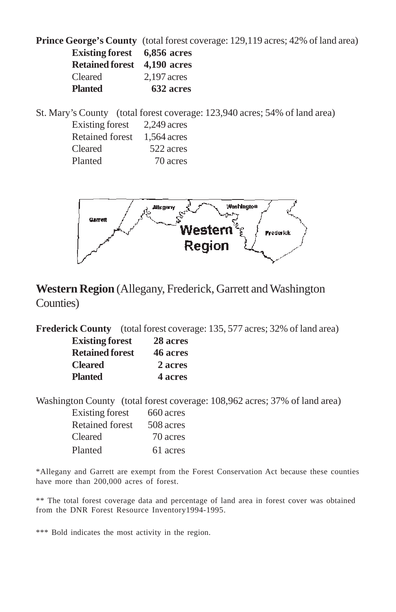**Prince George's County** (total forest coverage: 129,119 acres; 42% of land area) **Existing forest 6,856 acres Retained forest 4,190 acres** Cleared 2,197 acres **Planted 632 acres**

St. Mary's County (total forest coverage: 123,940 acres; 54% of land area)

| Existing forest        | $2.249$ acres |
|------------------------|---------------|
| <b>Retained forest</b> | 1,564 acres   |
| Cleared                | 522 acres     |
| Planted                | 70 acres      |



#### **Western Region** (Allegany, Frederick, Garrett and Washington Counties)

**Frederick County** (total forest coverage: 135, 577 acres; 32% of land area)

| <b>Existing forest</b> | 28 acres |
|------------------------|----------|
| <b>Retained forest</b> | 46 acres |
| <b>Cleared</b>         | 2 acres  |
| <b>Planted</b>         | 4 acres  |

Washington County (total forest coverage: 108,962 acres; 37% of land area)

| Existing forest        | 660 acres |
|------------------------|-----------|
| <b>Retained forest</b> | 508 acres |
| Cleared                | 70 acres  |
| Planted                | 61 acres  |

\*Allegany and Garrett are exempt from the Forest Conservation Act because these counties have more than 200,000 acres of forest.

\*\* The total forest coverage data and percentage of land area in forest cover was obtained from the DNR Forest Resource Inventory1994-1995.

\*\*\* Bold indicates the most activity in the region.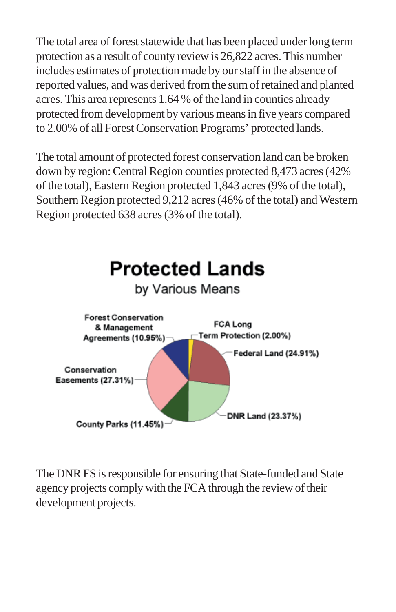The total area of forest statewide that has been placed under long term protection as a result of county review is 26,822 acres. This number includes estimates of protection made by our staff in the absence of reported values, and was derived from the sum of retained and planted acres. This area represents 1.64 % of the land in counties already protected from development by various means in five years compared to 2.00% of all Forest Conservation Programs' protected lands.

The total amount of protected forest conservation land can be broken down by region: Central Region counties protected 8,473 acres (42% of the total), Eastern Region protected 1,843 acres (9% of the total), Southern Region protected 9,212 acres (46% of the total) and Western Region protected 638 acres (3% of the total).



The DNR FS is responsible for ensuring that State-funded and State agency projects comply with the FCA through the review of their development projects.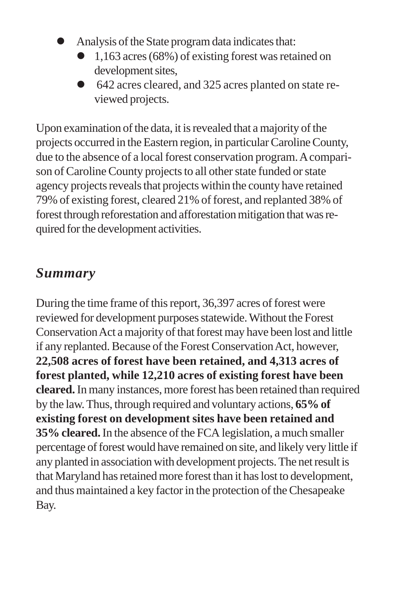- ! Analysis of the State program data indicates that:
	- 1,163 acres (68%) of existing forest was retained on development sites,
	- ! 642 acres cleared, and 325 acres planted on state reviewed projects.

Upon examination of the data, it is revealed that a majority of the projects occurred in the Eastern region, in particular Caroline County, due to the absence of a local forest conservation program. A comparison of Caroline County projects to all other state funded or state agency projects reveals that projects within the county have retained 79% of existing forest, cleared 21% of forest, and replanted 38% of forest through reforestation and afforestation mitigation that was required for the development activities.

#### *Summary*

During the time frame of this report, 36,397 acres of forest were reviewed for development purposes statewide. Without the Forest Conservation Act a majority of that forest may have been lost and little if any replanted. Because of the Forest Conservation Act, however, **22,508 acres of forest have been retained, and 4,313 acres of forest planted, while 12,210 acres of existing forest have been cleared.** In many instances, more forest has been retained than required by the law. Thus, through required and voluntary actions, **65% of existing forest on development sites have been retained and 35% cleared.** In the absence of the FCA legislation, a much smaller percentage of forest would have remained on site, and likely very little if any planted in association with development projects. The net result is that Maryland has retained more forest than it has lost to development, and thus maintained a key factor in the protection of the Chesapeake Bay.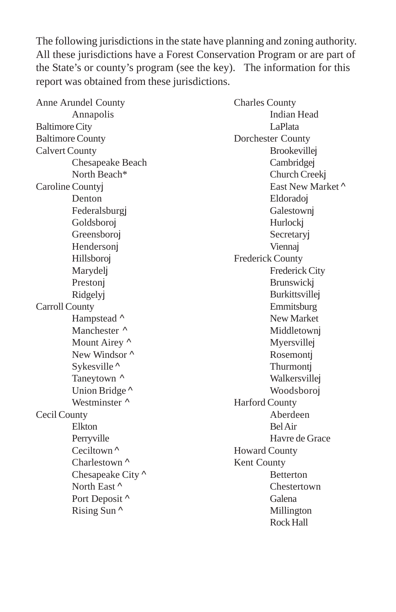The following jurisdictions in the state have planning and zoning authority. All these jurisdictions have a Forest Conservation Program or are part of the State's or county's program (see the key). The information for this report was obtained from these jurisdictions.

| Anne Arundel County     | <b>Charles County</b>   |
|-------------------------|-------------------------|
| Annapolis               | <b>Indian Head</b>      |
| <b>Baltimore City</b>   | LaPlata                 |
| <b>Baltimore County</b> | Dorchester County       |
| <b>Calvert County</b>   | <b>Brookevillej</b>     |
| Chesapeake Beach        | Cambridgej              |
| North Beach*            | Church Creekj           |
| Caroline Countyj        | East New Market ^       |
| Denton                  | Eldoradoj               |
| Federalsburgj           | Galestownj              |
| Goldsboroj              | Hurlockj                |
| Greensboroj             | Secretaryj              |
| Hendersonj              | Viennaj                 |
| Hillsboroj              | <b>Frederick County</b> |
| Marydelj                | <b>Frederick City</b>   |
| Prestonj                | <b>Brunswickj</b>       |
| Ridgelyj                | Burkittsvillej          |
| <b>Carroll County</b>   | Emmitsburg              |
| Hampstead ^             | New Market              |
| Manchester ^            | Middletown              |
| Mount Airey ^           | Myersvillej             |
| New Windsor ^           | Rosemontj               |
| Sykesville <sup>^</sup> | Thurmontj               |
| Taneytown ^             | Walkersvillej           |
| Union Bridge ^          | Woodsboroj              |
| Westminster ^           | <b>Harford County</b>   |
| Cecil County            | Aberdeen                |
| Elkton                  | <b>Bel</b> Air          |
| Perryville              | Havre de Grace          |
| Ceciltown $\wedge$      | <b>Howard County</b>    |
| Charlestown ^           | Kent County             |
| Chesapeake City ^       | Betterton               |
| North East ^            | Chestertown             |
| Port Deposit ^          | Galena                  |
| Rising Sun ^            | Millington              |
|                         | Rock Hall               |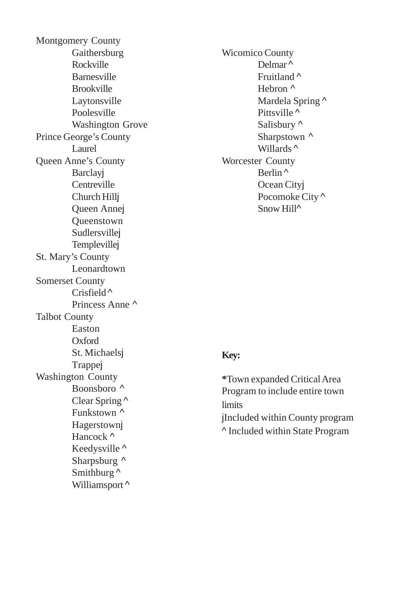Montgomery County Gaithersburg Rockville Barnesville Brookville Laytonsville Poolesville Washington Grove Prince George's County Laurel Queen Anne's County **Barclay** Centreville Church Hillj Queen Annej Queenstown Sudlersvillej Templevillej St. Mary's County Leonardtown Somerset County Crisfield ^ Princess Anne ^ Talbot County Easton Oxford St. Michaelsj Trappej Washington County Boonsboro ^ Clear Spring ^ Funkstown ^ Hagerstownj Hancock ^ Keedysville ^ Sharpsburg  $\wedge$ Smithburg  $\wedge$ Williamsport<sup>^</sup>

Wicomico County Delmar ^ Fruitland ^ Hebron ^ Mardela Spring  $\wedge$ Pittsville ^ Salisbury ^ Sharpstown  $\wedge$ Willards ^ Worcester County Berlin ^ Ocean Cityj Pocomoke City ^ Snow Hill<sup>^</sup>

#### **Key:**

**\***Town expanded Critical Area Program to include entire town limits jIncluded within County program ^ Included within State Program